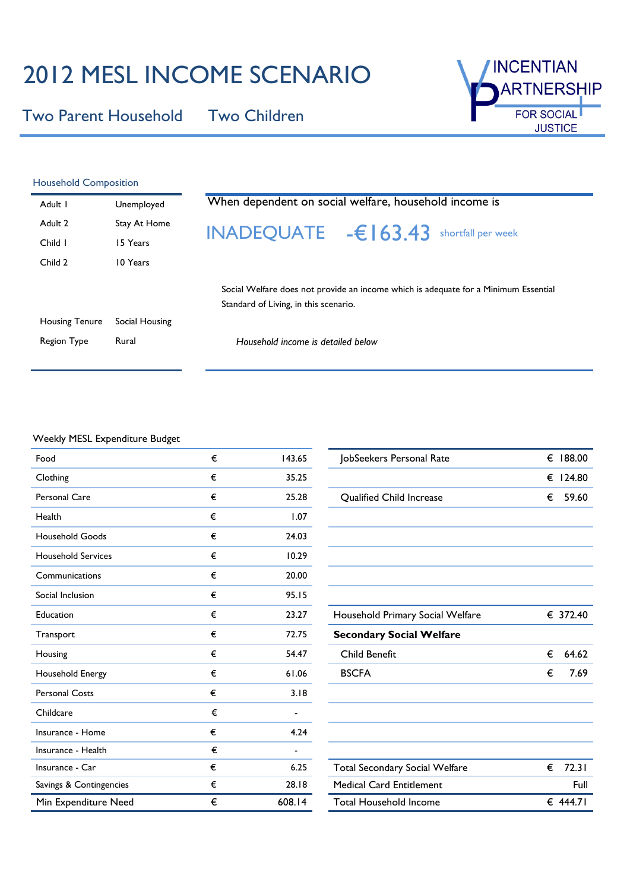## 2012 MESL INCOME SCENARIO

Two Parent Household Two Children



| <b>Household Composition</b> |                |  |  |
|------------------------------|----------------|--|--|
| Adult I                      | Unemployed     |  |  |
| Adult <sub>2</sub>           | Stay At Home   |  |  |
| Child I                      | 15 Years       |  |  |
| Child 2                      | 10 Years       |  |  |
|                              |                |  |  |
|                              |                |  |  |
| Housing Tenure               | Social Housing |  |  |
|                              |                |  |  |

# When dependent on social welfare, household income is INADEQUATE -€163.43 shortfall per week

Social Welfare does not provide an income which is adequate for a Minimum Essential Standard of Living, in this scenario.

| Housing Tenure | Social Housing |
|----------------|----------------|
| Region Type    | Rural          |

Household income is detailed below

#### Weekly MESL Expenditure Budget

| Food                      | € | 143.65                   | JobSeekers Personal Rate              | € | 188.00   |
|---------------------------|---|--------------------------|---------------------------------------|---|----------|
| Clothing                  | € | 35.25                    |                                       | € | 124.80   |
| Personal Care             | € | 25.28                    | Qualified Child Increase              | € | 59.60    |
| Health                    | € | 1.07                     |                                       |   |          |
| <b>Household Goods</b>    | € | 24.03                    |                                       |   |          |
| <b>Household Services</b> | € | 10.29                    |                                       |   |          |
| Communications            | € | 20.00                    |                                       |   |          |
| Social Inclusion          | € | 95.15                    |                                       |   |          |
| Education                 | € | 23.27                    | Household Primary Social Welfare      |   | € 372.40 |
| Transport                 | € | 72.75                    | <b>Secondary Social Welfare</b>       |   |          |
| Housing                   | € | 54.47                    | <b>Child Benefit</b>                  | € | 64.62    |
| Household Energy          | € | 61.06                    | <b>BSCFA</b>                          | € | 7.69     |
| <b>Personal Costs</b>     | € | 3.18                     |                                       |   |          |
| Childcare                 | € |                          |                                       |   |          |
| Insurance - Home          | € | 4.24                     |                                       |   |          |
| Insurance - Health        | € | $\overline{\phantom{a}}$ |                                       |   |          |
| Insurance - Car           | € | 6.25                     | <b>Total Secondary Social Welfare</b> | € | 72.31    |
| Savings & Contingencies   | € | 28.18                    | <b>Medical Card Entitlement</b>       |   | Full     |
| Min Expenditure Need      | € | 608.14                   | <b>Total Household Income</b>         |   | € 444.71 |

| JobSeekers Personal Rate              | € | 188.00   |
|---------------------------------------|---|----------|
|                                       | € | 124.80   |
| <b>Qualified Child Increase</b>       | € | 59.60    |
|                                       |   |          |
|                                       |   |          |
|                                       |   |          |
|                                       |   |          |
|                                       |   |          |
| Household Primary Social Welfare      |   | € 372.40 |
| <b>Secondary Social Welfare</b>       |   |          |
| Child Benefit                         | € | 64.62    |
| <b>BSCFA</b>                          | € | 7.69     |
|                                       |   |          |
|                                       |   |          |
|                                       |   |          |
|                                       |   |          |
| <b>Total Secondary Social Welfare</b> | € | 72.31    |
| <b>Medical Card Entitlement</b>       |   | Full     |
| <b>Total Household Income</b>         |   | € 444.71 |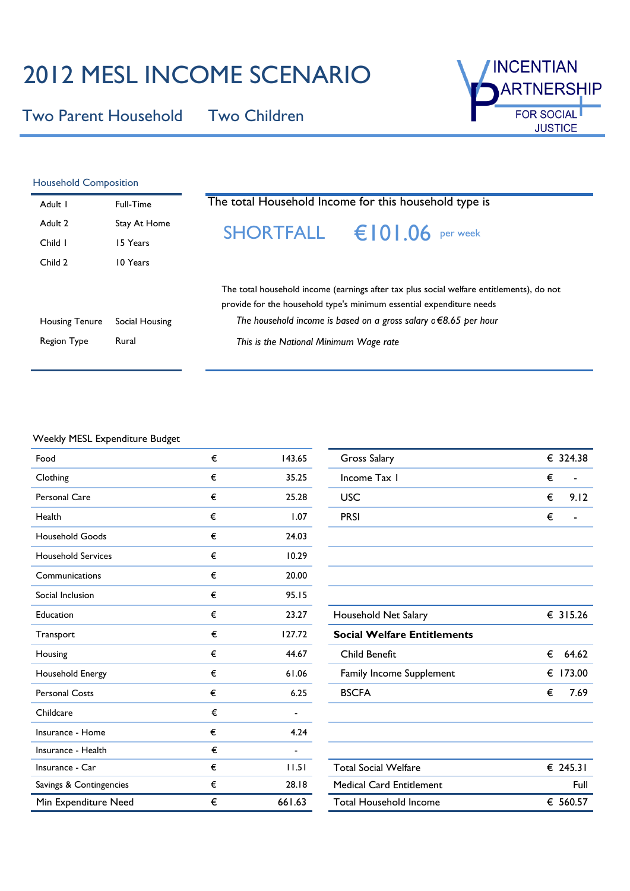## 2012 MESL INCOME SCENARIO

Two Parent Household Two Children



| <b>Household Composition</b> |                |                                                                                                                                                                                                                                           |
|------------------------------|----------------|-------------------------------------------------------------------------------------------------------------------------------------------------------------------------------------------------------------------------------------------|
| Adult I                      | Full-Time      | The total Household Income for this household type is                                                                                                                                                                                     |
| Adult 2                      | Stay At Home   | <b>SHORTFALL</b> $\epsilon$ 0 0 06 per week                                                                                                                                                                                               |
| Child I                      | 15 Years       |                                                                                                                                                                                                                                           |
| Child 2                      | 10 Years       |                                                                                                                                                                                                                                           |
| <b>Housing Tenure</b>        | Social Housing | The total household income (earnings after tax plus social welfare entitlements), do not<br>provide for the household type's minimum essential expenditure needs<br>The household income is based on a gross salary $c \in 8.65$ per hour |
| Region Type                  | Rural          | This is the National Minimum Wage rate                                                                                                                                                                                                    |
|                              |                |                                                                                                                                                                                                                                           |

### Weekly MESL Expenditure Budget

| Food                      | € | 143.65         | Gross Salary                       | € 324.38    |
|---------------------------|---|----------------|------------------------------------|-------------|
| Clothing                  | € | 35.25          | Income Tax I                       | €           |
| <b>Personal Care</b>      | € | 25.28          | <b>USC</b>                         | €<br>9.12   |
| Health                    | € | 1.07           | <b>PRSI</b>                        | €           |
| <b>Household Goods</b>    | € | 24.03          |                                    |             |
| <b>Household Services</b> | € | 10.29          |                                    |             |
| Communications            | € | 20.00          |                                    |             |
| Social Inclusion          | € | 95.15          |                                    |             |
| Education                 | € | 23.27          | Household Net Salary               | € 315.26    |
| Transport                 | € | 127.72         | <b>Social Welfare Entitlements</b> |             |
| Housing                   | € | 44.67          | Child Benefit                      | €<br>64.62  |
| Household Energy          | € | 61.06          | Family Income Supplement           | 173.00<br>€ |
| <b>Personal Costs</b>     | € | 6.25           | <b>BSCFA</b>                       | 7.69<br>€   |
| Childcare                 | € |                |                                    |             |
| Insurance - Home          | € | 4.24           |                                    |             |
| Insurance - Health        | € | $\blacksquare$ |                                    |             |
| Insurance - Car           | € | 11.51          | <b>Total Social Welfare</b>        | € 245.31    |
| Savings & Contingencies   | € | 28.18          | <b>Medical Card Entitlement</b>    | Full        |
| Min Expenditure Need      | € | 661.63         | <b>Total Household Income</b>      | € 560.57    |

| <b>Gross Salary</b>                |   | € 324.38 |
|------------------------------------|---|----------|
| Income Tax 1                       | € |          |
| <b>USC</b>                         | € | 9.12     |
| <b>PRSI</b>                        | € |          |
|                                    |   |          |
|                                    |   |          |
|                                    |   |          |
|                                    |   |          |
| Household Net Salary               |   | € 315.26 |
| <b>Social Welfare Entitlements</b> |   |          |
| Child Benefit                      | € | 64.62    |
| Family Income Supplement           | € | 173.00   |
| <b>BSCFA</b>                       | € | 7.69     |
|                                    |   |          |
|                                    |   |          |
|                                    |   |          |
| <b>Total Social Welfare</b>        |   | € 245.31 |
| <b>Medical Card Entitlement</b>    |   | Full     |
| Total Household Income             |   | € 560.57 |